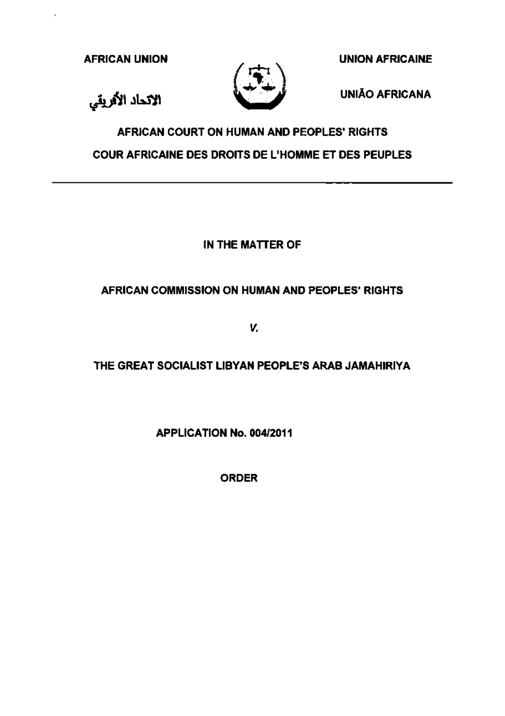AFRICAN UNION UNION AFRICAINE

الانحاد الأفريقي



UNIAO AFRICANA

# AFRICAN COURT ON HUMAN AND PEOPLES' RIGHTS COUR AFRICAINE DES DROITS DE L'HOMME ET DES PEUPLES

## IN THE MATTER OF

## AFRICAN COMMISSION ON HUMAN AND PEOPLES' RIGHTS

v.

## THE GREAT SOCIALIST LIBYAN PEOPLE'S ARAB JAMAHIRIYA

APPLICATION No. 004/2011

ORDER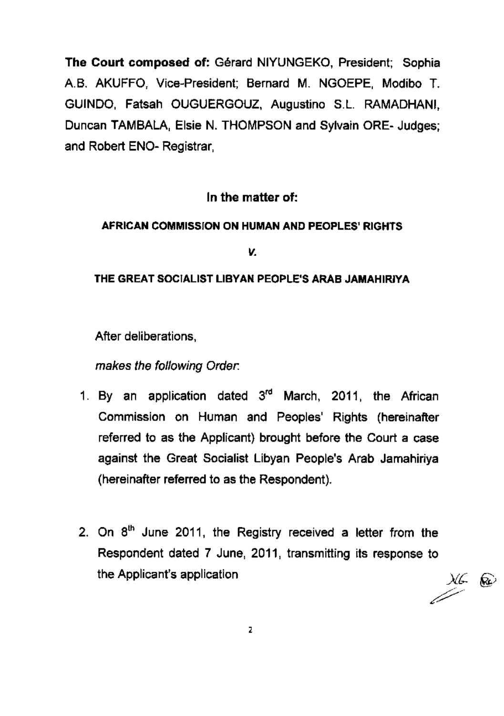The Court composed of: Gerard NIYUNGEKO, President; Sophia A.B. AKUFFO, Vice-President; Bernard M. NGOEPE, Modibo T. GUINDO, Fatsah OUGUERGOUZ, Augustino S.L. RAMADHANI, Duncan TAMBALA, Elsie N. THOMPSON and Sylvain ORE- Judges; and Robert ENO- Registrar,

#### In the matter of:

#### AFRICAN COMMISSION ON HUMAN AND PEOPLES' RIGHTS

v.

#### THE GREAT SOCIALIST LIBYAN PEOPLE'S ARAB JAMAHIRJYA

After deliberations,

makes the following Order.

- 1. By an application dated  $3<sup>rd</sup>$  March, 2011, the African Commission on Human and Peoples' Rights (hereinafter referred to as the Applicant) brought before the Court a case against the Great Socialist Libyan People's Arab Jamahiriya (hereinafter referred to as the Respondent).
- 2. On  $8<sup>th</sup>$  June 2011, the Registry received a letter from the Respondent dated 7 June, 2011, transmitting its response to  $\frac{1}{2}$ the Applicant's application

2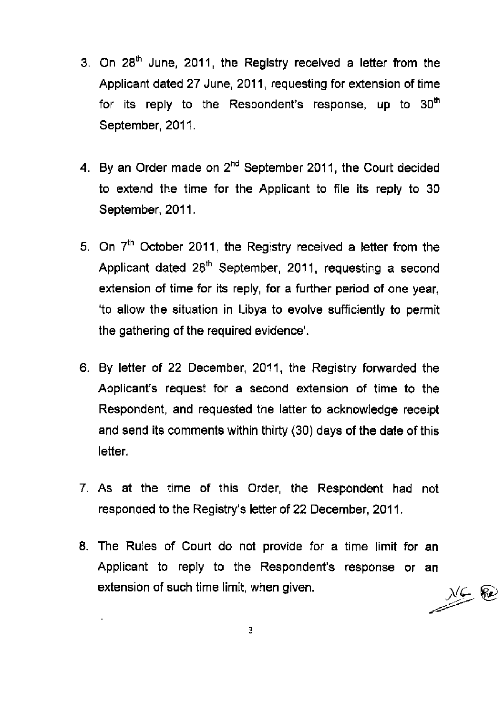- 3. On 28<sup>th</sup> June, 2011, the Registry received a letter from the Applicant dated 27 June, 2011 , requesting for extension of time for its reply to the Respondent's response, up to  $30<sup>th</sup>$ September, 2011.
- 4. By an Order made on 2<sup>nd</sup> September 2011, the Court decided to extend the time for the Applicant to file its reply to 30 September, 2011.
- 5. On  $7<sup>th</sup>$  October 2011, the Registry received a letter from the Applicant dated 28<sup>th</sup> September, 2011, requesting a second extension of time for its reply, for a further period of one year, 'to allow the situation in Libya to evolve sufficiently to permit the gathering of the required evidence'.
- 6. By letter of 22 December, 2011, the Registry forwarded the Applicant's request for a second extension of time to the Respondent, and requested the latter to acknowledge receipt and send its comments within thirty (30) days of the date of this letter.
- 7. As at the time of this Order, the Respondent had not responded to the Registry's letter of 22 December, 2011 .
- 8. The Rules of Court do not provide for a time limit for an Applicant to reply to the Respondent's response or an extension of such time limit, when given.

 $M \in \mathbb{R}$